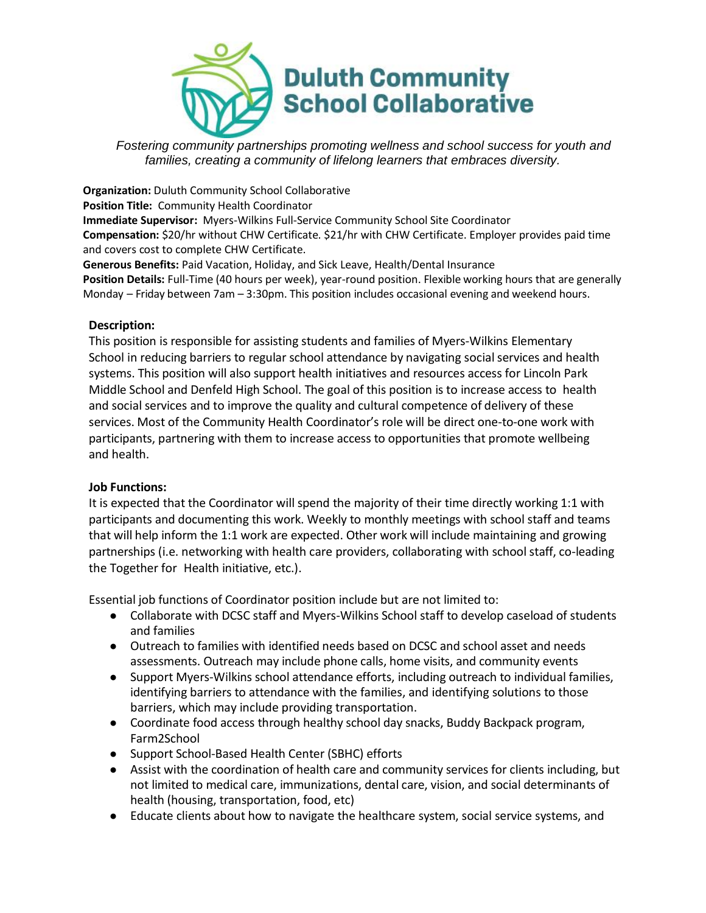

*Fostering community partnerships promoting wellness and school success for youth and families, creating a community of lifelong learners that embraces diversity.*

**Organization:** Duluth Community School Collaborative **Position Title:** Community Health Coordinator **Immediate Supervisor:** Myers-Wilkins Full-Service Community School Site Coordinator **Compensation:** \$20/hr without CHW Certificate. \$21/hr with CHW Certificate. Employer provides paid time and covers cost to complete CHW Certificate.

**Generous Benefits:** Paid Vacation, Holiday, and Sick Leave, Health/Dental Insurance **Position Details:** Full-Time (40 hours per week), year-round position. Flexible working hours that are generally Monday – Friday between 7am – 3:30pm. This position includes occasional evening and weekend hours.

## **Description:**

This position is responsible for assisting students and families of Myers-Wilkins Elementary School in reducing barriers to regular school attendance by navigating social services and health systems. This position will also support health initiatives and resources access for Lincoln Park Middle School and Denfeld High School. The goal of this position is to increase access to health and social services and to improve the quality and cultural competence of delivery of these services. Most of the Community Health Coordinator's role will be direct one-to-one work with participants, partnering with them to increase access to opportunities that promote wellbeing and health.

## **Job Functions:**

It is expected that the Coordinator will spend the majority of their time directly working 1:1 with participants and documenting this work. Weekly to monthly meetings with school staff and teams that will help inform the 1:1 work are expected. Other work will include maintaining and growing partnerships (i.e. networking with health care providers, collaborating with school staff, co-leading the Together for Health initiative, etc.).

Essential job functions of Coordinator position include but are not limited to:

- Collaborate with DCSC staff and Myers-Wilkins School staff to develop caseload of students and families
- Outreach to families with identified needs based on DCSC and school asset and needs assessments. Outreach may include phone calls, home visits, and community events
- Support Myers-Wilkins school attendance efforts, including outreach to individual families, identifying barriers to attendance with the families, and identifying solutions to those barriers, which may include providing transportation.
- Coordinate food access through healthy school day snacks, Buddy Backpack program, Farm2School
- Support School-Based Health Center (SBHC) efforts
- Assist with the coordination of health care and community services for clients including, but not limited to medical care, immunizations, dental care, vision, and social determinants of health (housing, transportation, food, etc)
- Educate clients about how to navigate the healthcare system, social service systems, and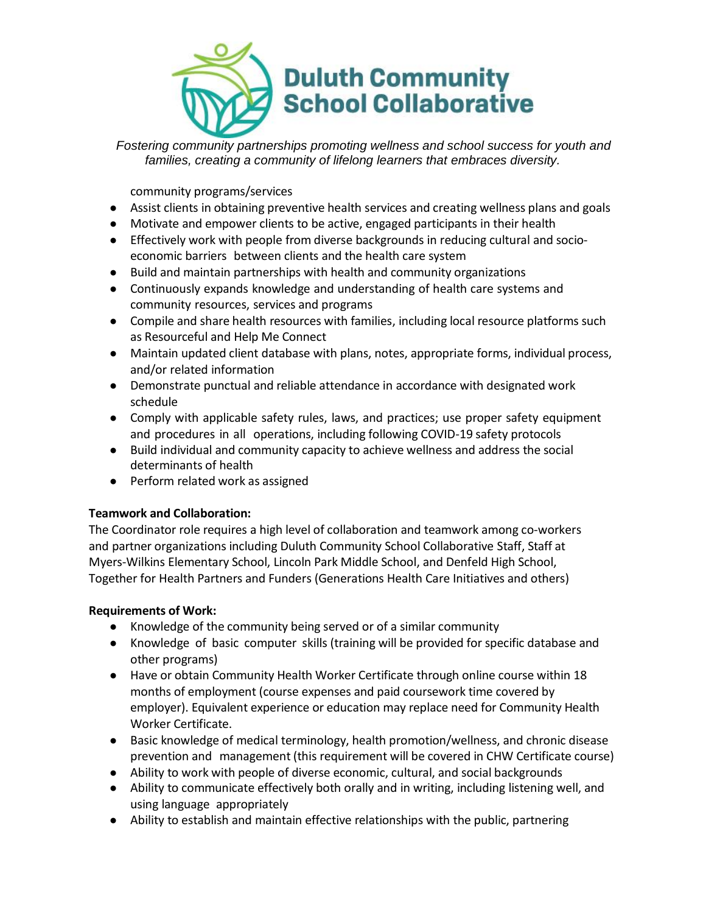

*Fostering community partnerships promoting wellness and school success for youth and families, creating a community of lifelong learners that embraces diversity.*

community programs/services

- Assist clients in obtaining preventive health services and creating wellness plans and goals
- Motivate and empower clients to be active, engaged participants in their health
- Effectively work with people from diverse backgrounds in reducing cultural and socioeconomic barriers between clients and the health care system
- Build and maintain partnerships with health and community organizations
- Continuously expands knowledge and understanding of health care systems and community resources, services and programs
- Compile and share health resources with families, including local resource platforms such as Resourceful and Help Me Connect
- Maintain updated client database with plans, notes, appropriate forms, individual process, and/or related information
- Demonstrate punctual and reliable attendance in accordance with designated work schedule
- Comply with applicable safety rules, laws, and practices; use proper safety equipment and procedures in all operations, including following COVID-19 safety protocols
- Build individual and community capacity to achieve wellness and address the social determinants of health
- Perform related work as assigned

# **Teamwork and Collaboration:**

The Coordinator role requires a high level of collaboration and teamwork among co-workers and partner organizations including Duluth Community School Collaborative Staff, Staff at Myers-Wilkins Elementary School, Lincoln Park Middle School, and Denfeld High School, Together for Health Partners and Funders (Generations Health Care Initiatives and others)

## **Requirements of Work:**

- Knowledge of the community being served or of a similar community
- Knowledge of basic computer skills (training will be provided for specific database and other programs)
- Have or obtain Community Health Worker Certificate through online course within 18 months of employment (course expenses and paid coursework time covered by employer). Equivalent experience or education may replace need for Community Health Worker Certificate.
- Basic knowledge of medical terminology, health promotion/wellness, and chronic disease prevention and management (this requirement will be covered in CHW Certificate course)
- Ability to work with people of diverse economic, cultural, and social backgrounds
- Ability to communicate effectively both orally and in writing, including listening well, and using language appropriately
- Ability to establish and maintain effective relationships with the public, partnering